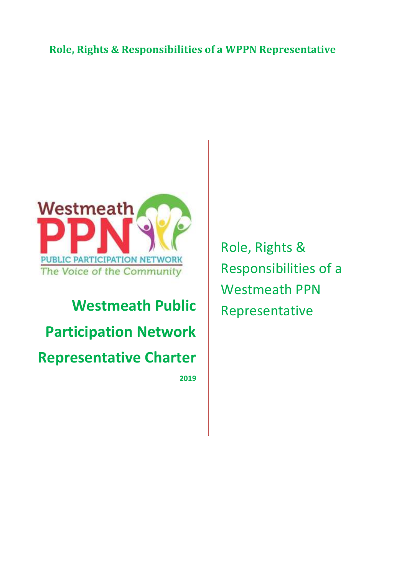# **Role, Rights & Responsibilities of a WPPN Representative**

Agreement Sheet 5 and 200 million sheet 5 and 3 and 3 and 3 and 3 and 3 and 3 and 3 and 3 and 3 and 3 and 3 an



# **Westmeath Public Participation Network Representative Charter**

**2019**

Role, Rights & Responsibilities of a Westmeath PPN Representative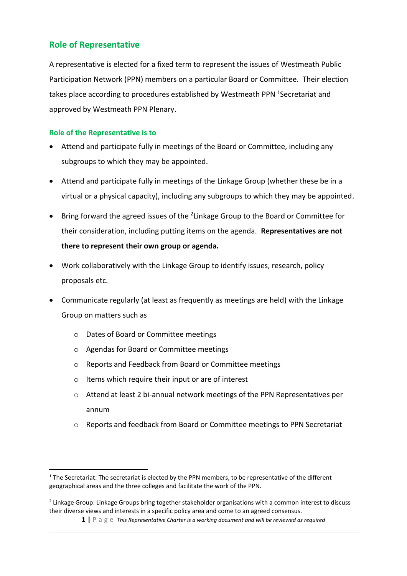# **Role of Representative**

A representative is elected for a fixed term to represent the issues of Westmeath Public Participation Network (PPN) members on a particular Board or Committee. Their election takes place according to procedures established by Westmeath PPN <sup>1</sup>Secretariat and approved by Westmeath PPN Plenary.

#### **Role of the Representative is to**

**.** 

- Attend and participate fully in meetings of the Board or Committee, including any subgroups to which they may be appointed.
- Attend and participate fully in meetings of the Linkage Group (whether these be in a virtual or a physical capacity), including any subgroups to which they may be appointed.
- Bring forward the agreed issues of the <sup>2</sup>Linkage Group to the Board or Committee for their consideration, including putting items on the agenda. **Representatives are not there to represent their own group or agenda.**
- Work collaboratively with the Linkage Group to identify issues, research, policy proposals etc.
- Communicate regularly (at least as frequently as meetings are held) with the Linkage Group on matters such as
	- o Dates of Board or Committee meetings
	- o Agendas for Board or Committee meetings
	- o Reports and Feedback from Board or Committee meetings
	- o Items which require their input or are of interest
	- o Attend at least 2 bi-annual network meetings of the PPN Representatives per annum
	- o Reports and feedback from Board or Committee meetings to PPN Secretariat

<sup>&</sup>lt;sup>1</sup> The Secretariat: The secretariat is elected by the PPN members, to be representative of the different geographical areas and the three colleges and facilitate the work of the PPN.

<sup>&</sup>lt;sup>2</sup> Linkage Group: Linkage Groups bring together stakeholder organisations with a common interest to discuss their diverse views and interests in a specific policy area and come to an agreed consensus.

**<sup>1</sup> |** P a g e *This Representative Charter is a working document and will be reviewed as required*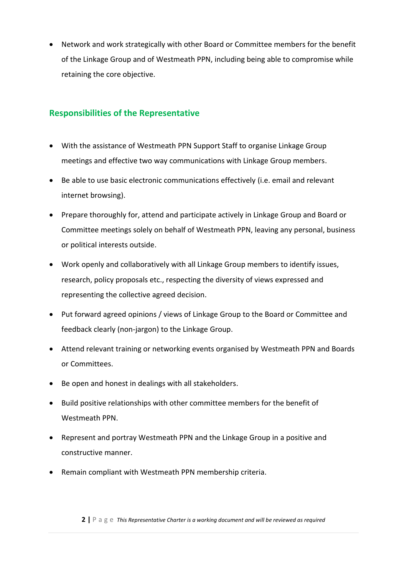• Network and work strategically with other Board or Committee members for the benefit of the Linkage Group and of Westmeath PPN, including being able to compromise while retaining the core objective.

## **Responsibilities of the Representative**

- With the assistance of Westmeath PPN Support Staff to organise Linkage Group meetings and effective two way communications with Linkage Group members.
- Be able to use basic electronic communications effectively (i.e. email and relevant internet browsing).
- Prepare thoroughly for, attend and participate actively in Linkage Group and Board or Committee meetings solely on behalf of Westmeath PPN, leaving any personal, business or political interests outside.
- Work openly and collaboratively with all Linkage Group members to identify issues, research, policy proposals etc., respecting the diversity of views expressed and representing the collective agreed decision.
- Put forward agreed opinions / views of Linkage Group to the Board or Committee and feedback clearly (non-jargon) to the Linkage Group.
- Attend relevant training or networking events organised by Westmeath PPN and Boards or Committees.
- Be open and honest in dealings with all stakeholders.
- Build positive relationships with other committee members for the benefit of Westmeath PPN.
- Represent and portray Westmeath PPN and the Linkage Group in a positive and constructive manner.
- Remain compliant with Westmeath PPN membership criteria.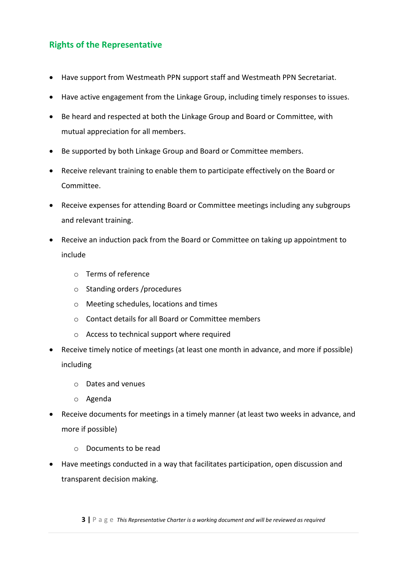# **Rights of the Representative**

- Have support from Westmeath PPN support staff and Westmeath PPN Secretariat.
- Have active engagement from the Linkage Group, including timely responses to issues.
- Be heard and respected at both the Linkage Group and Board or Committee, with mutual appreciation for all members.
- Be supported by both Linkage Group and Board or Committee members.
- Receive relevant training to enable them to participate effectively on the Board or Committee.
- Receive expenses for attending Board or Committee meetings including any subgroups and relevant training.
- Receive an induction pack from the Board or Committee on taking up appointment to include
	- o Terms of reference
	- o Standing orders /procedures
	- o Meeting schedules, locations and times
	- o Contact details for all Board or Committee members
	- o Access to technical support where required
- Receive timely notice of meetings (at least one month in advance, and more if possible) including
	- o Dates and venues
	- o Agenda
- Receive documents for meetings in a timely manner (at least two weeks in advance, and more if possible)
	- o Documents to be read
- Have meetings conducted in a way that facilitates participation, open discussion and transparent decision making.

**3 |** P a g e *This Representative Charter is a working document and will be reviewed as required*